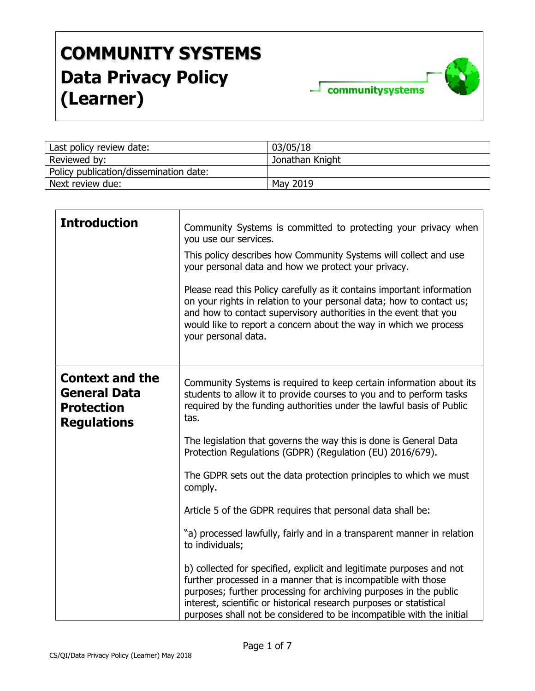

| Last policy review date:               | 03/05/18        |
|----------------------------------------|-----------------|
| Reviewed by:                           | Jonathan Knight |
| Policy publication/dissemination date: |                 |
| Next review due:                       | May 2019        |

| <b>Introduction</b>                                                                      | Community Systems is committed to protecting your privacy when<br>you use our services.<br>This policy describes how Community Systems will collect and use<br>your personal data and how we protect your privacy.<br>Please read this Policy carefully as it contains important information<br>on your rights in relation to your personal data; how to contact us;<br>and how to contact supervisory authorities in the event that you<br>would like to report a concern about the way in which we process<br>your personal data. |
|------------------------------------------------------------------------------------------|-------------------------------------------------------------------------------------------------------------------------------------------------------------------------------------------------------------------------------------------------------------------------------------------------------------------------------------------------------------------------------------------------------------------------------------------------------------------------------------------------------------------------------------|
| <b>Context and the</b><br><b>General Data</b><br><b>Protection</b><br><b>Regulations</b> | Community Systems is required to keep certain information about its<br>students to allow it to provide courses to you and to perform tasks<br>required by the funding authorities under the lawful basis of Public<br>tas.<br>The legislation that governs the way this is done is General Data<br>Protection Regulations (GDPR) (Regulation (EU) 2016/679).<br>The GDPR sets out the data protection principles to which we must<br>comply.                                                                                        |
|                                                                                          | Article 5 of the GDPR requires that personal data shall be:<br>"a) processed lawfully, fairly and in a transparent manner in relation<br>to individuals;<br>b) collected for specified, explicit and legitimate purposes and not<br>further processed in a manner that is incompatible with those<br>purposes; further processing for archiving purposes in the public<br>interest, scientific or historical research purposes or statistical<br>purposes shall not be considered to be incompatible with the initial               |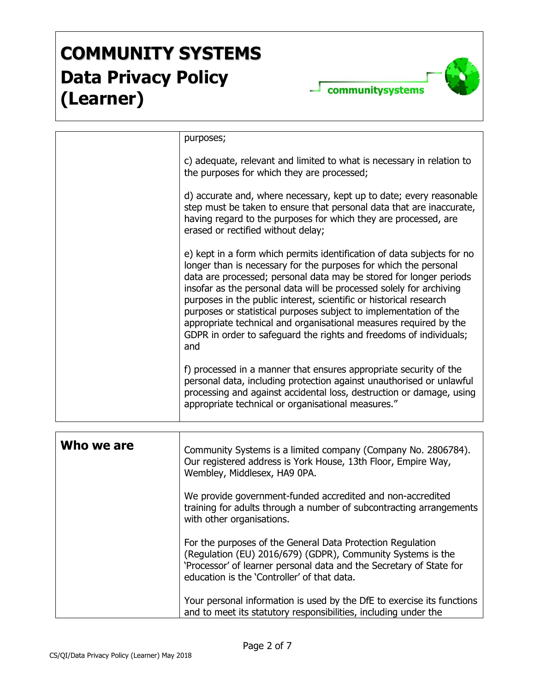

|            | purposes;                                                                                                                                                                                                                                                                                                                                                                                                                                                                                                                                                                            |
|------------|--------------------------------------------------------------------------------------------------------------------------------------------------------------------------------------------------------------------------------------------------------------------------------------------------------------------------------------------------------------------------------------------------------------------------------------------------------------------------------------------------------------------------------------------------------------------------------------|
|            | c) adequate, relevant and limited to what is necessary in relation to<br>the purposes for which they are processed;                                                                                                                                                                                                                                                                                                                                                                                                                                                                  |
|            | d) accurate and, where necessary, kept up to date; every reasonable<br>step must be taken to ensure that personal data that are inaccurate,<br>having regard to the purposes for which they are processed, are<br>erased or rectified without delay;                                                                                                                                                                                                                                                                                                                                 |
|            | e) kept in a form which permits identification of data subjects for no<br>longer than is necessary for the purposes for which the personal<br>data are processed; personal data may be stored for longer periods<br>insofar as the personal data will be processed solely for archiving<br>purposes in the public interest, scientific or historical research<br>purposes or statistical purposes subject to implementation of the<br>appropriate technical and organisational measures required by the<br>GDPR in order to safeguard the rights and freedoms of individuals;<br>and |
|            | f) processed in a manner that ensures appropriate security of the<br>personal data, including protection against unauthorised or unlawful<br>processing and against accidental loss, destruction or damage, using<br>appropriate technical or organisational measures."                                                                                                                                                                                                                                                                                                              |
|            |                                                                                                                                                                                                                                                                                                                                                                                                                                                                                                                                                                                      |
| Who we are | Community Systems is a limited company (Company No. 2806784).<br>Our registered address is York House, 13th Floor, Empire Way,<br>Wembley, Middlesex, HA9 0PA.                                                                                                                                                                                                                                                                                                                                                                                                                       |
|            | We provide government-funded accredited and non-accredited<br>training for adults through a number of subcontracting arrangements<br>with other organisations.                                                                                                                                                                                                                                                                                                                                                                                                                       |
|            | For the purposes of the General Data Protection Regulation<br>(Regulation (EU) 2016/679) (GDPR), Community Systems is the<br>'Processor' of learner personal data and the Secretary of State for<br>education is the 'Controller' of that data.                                                                                                                                                                                                                                                                                                                                      |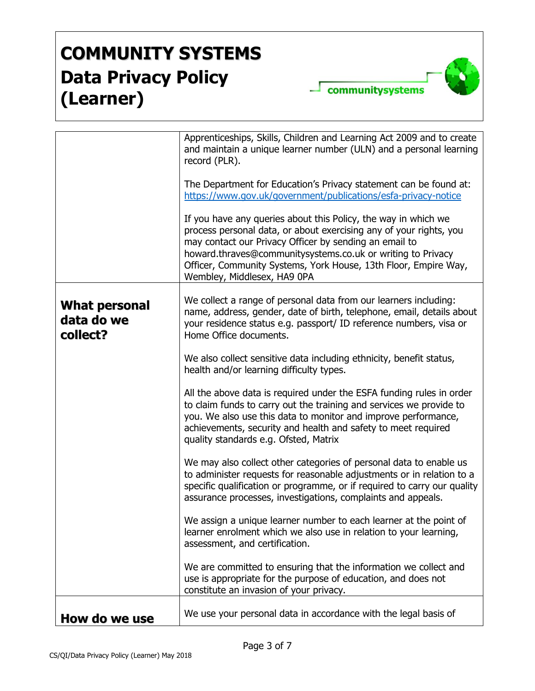

|                                         | Apprenticeships, Skills, Children and Learning Act 2009 and to create<br>and maintain a unique learner number (ULN) and a personal learning<br>record (PLR).                                                                                                                                                                                                    |
|-----------------------------------------|-----------------------------------------------------------------------------------------------------------------------------------------------------------------------------------------------------------------------------------------------------------------------------------------------------------------------------------------------------------------|
|                                         | The Department for Education's Privacy statement can be found at:<br>https://www.gov.uk/government/publications/esfa-privacy-notice                                                                                                                                                                                                                             |
|                                         | If you have any queries about this Policy, the way in which we<br>process personal data, or about exercising any of your rights, you<br>may contact our Privacy Officer by sending an email to<br>howard.thraves@communitysystems.co.uk or writing to Privacy<br>Officer, Community Systems, York House, 13th Floor, Empire Way,<br>Wembley, Middlesex, HA9 0PA |
| What personal<br>data do we<br>collect? | We collect a range of personal data from our learners including:<br>name, address, gender, date of birth, telephone, email, details about<br>your residence status e.g. passport/ ID reference numbers, visa or<br>Home Office documents.                                                                                                                       |
|                                         | We also collect sensitive data including ethnicity, benefit status,<br>health and/or learning difficulty types.                                                                                                                                                                                                                                                 |
|                                         | All the above data is required under the ESFA funding rules in order<br>to claim funds to carry out the training and services we provide to<br>you. We also use this data to monitor and improve performance,<br>achievements, security and health and safety to meet required<br>quality standards e.g. Ofsted, Matrix                                         |
|                                         | We may also collect other categories of personal data to enable us<br>to administer requests for reasonable adjustments or in relation to a<br>specific qualification or programme, or if required to carry our quality<br>assurance processes, investigations, complaints and appeals.                                                                         |
|                                         | We assign a unique learner number to each learner at the point of<br>learner enrolment which we also use in relation to your learning,<br>assessment, and certification.                                                                                                                                                                                        |
|                                         | We are committed to ensuring that the information we collect and<br>use is appropriate for the purpose of education, and does not<br>constitute an invasion of your privacy.                                                                                                                                                                                    |
| How do we use                           | We use your personal data in accordance with the legal basis of                                                                                                                                                                                                                                                                                                 |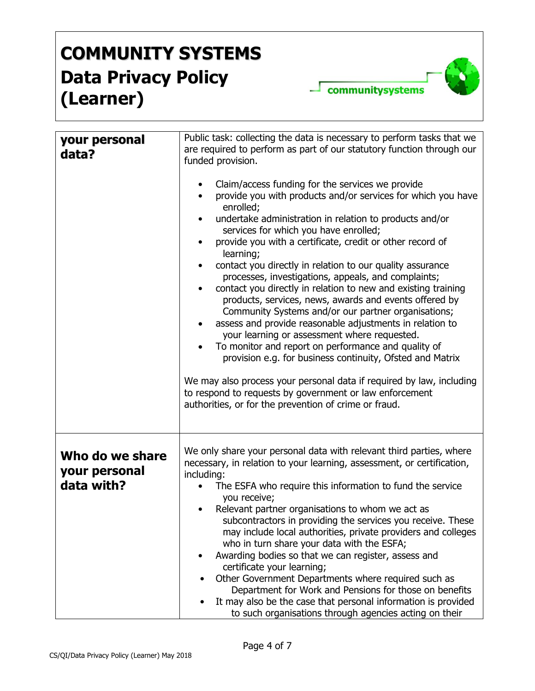communitysystems

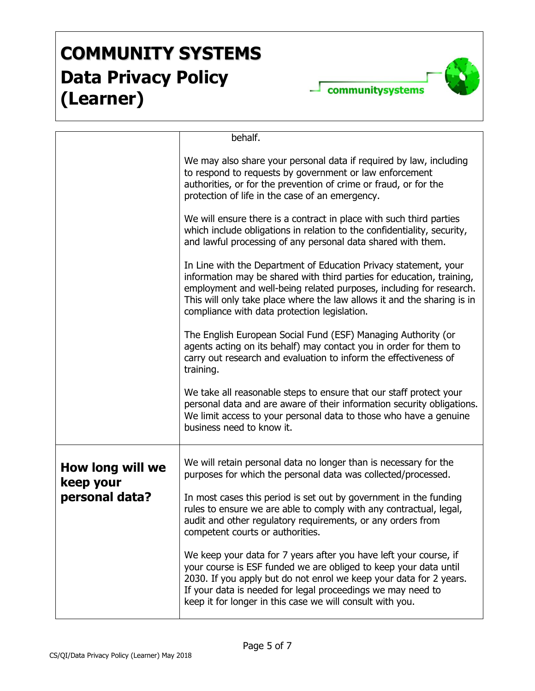

|                               | behalf.                                                                                                                                                                                                                                                                                                                                     |
|-------------------------------|---------------------------------------------------------------------------------------------------------------------------------------------------------------------------------------------------------------------------------------------------------------------------------------------------------------------------------------------|
|                               | We may also share your personal data if required by law, including<br>to respond to requests by government or law enforcement<br>authorities, or for the prevention of crime or fraud, or for the<br>protection of life in the case of an emergency.                                                                                        |
|                               | We will ensure there is a contract in place with such third parties<br>which include obligations in relation to the confidentiality, security,<br>and lawful processing of any personal data shared with them.                                                                                                                              |
|                               | In Line with the Department of Education Privacy statement, your<br>information may be shared with third parties for education, training,<br>employment and well-being related purposes, including for research.<br>This will only take place where the law allows it and the sharing is in<br>compliance with data protection legislation. |
|                               | The English European Social Fund (ESF) Managing Authority (or<br>agents acting on its behalf) may contact you in order for them to<br>carry out research and evaluation to inform the effectiveness of<br>training.                                                                                                                         |
|                               | We take all reasonable steps to ensure that our staff protect your<br>personal data and are aware of their information security obligations.<br>We limit access to your personal data to those who have a genuine<br>business need to know it.                                                                                              |
| How long will we<br>keep your | We will retain personal data no longer than is necessary for the<br>purposes for which the personal data was collected/processed.                                                                                                                                                                                                           |
| personal data?                | In most cases this period is set out by government in the funding<br>rules to ensure we are able to comply with any contractual, legal,<br>audit and other regulatory requirements, or any orders from<br>competent courts or authorities.                                                                                                  |
|                               | We keep your data for 7 years after you have left your course, if<br>your course is ESF funded we are obliged to keep your data until<br>2030. If you apply but do not enrol we keep your data for 2 years.<br>If your data is needed for legal proceedings we may need to<br>keep it for longer in this case we will consult with you.     |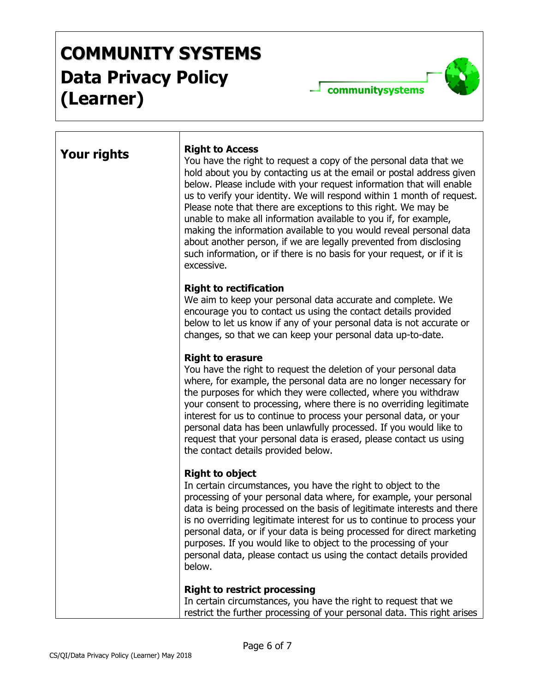communitysystems

| <b>Your rights</b> | <b>Right to Access</b><br>You have the right to request a copy of the personal data that we<br>hold about you by contacting us at the email or postal address given<br>below. Please include with your request information that will enable<br>us to verify your identity. We will respond within 1 month of request.<br>Please note that there are exceptions to this right. We may be<br>unable to make all information available to you if, for example,<br>making the information available to you would reveal personal data<br>about another person, if we are legally prevented from disclosing<br>such information, or if there is no basis for your request, or if it is<br>excessive. |
|--------------------|-------------------------------------------------------------------------------------------------------------------------------------------------------------------------------------------------------------------------------------------------------------------------------------------------------------------------------------------------------------------------------------------------------------------------------------------------------------------------------------------------------------------------------------------------------------------------------------------------------------------------------------------------------------------------------------------------|
|                    | <b>Right to rectification</b><br>We aim to keep your personal data accurate and complete. We<br>encourage you to contact us using the contact details provided<br>below to let us know if any of your personal data is not accurate or<br>changes, so that we can keep your personal data up-to-date.                                                                                                                                                                                                                                                                                                                                                                                           |
|                    | <b>Right to erasure</b><br>You have the right to request the deletion of your personal data<br>where, for example, the personal data are no longer necessary for<br>the purposes for which they were collected, where you withdraw<br>your consent to processing, where there is no overriding legitimate<br>interest for us to continue to process your personal data, or your<br>personal data has been unlawfully processed. If you would like to<br>request that your personal data is erased, please contact us using<br>the contact details provided below.                                                                                                                               |
|                    | <b>Right to object</b><br>In certain circumstances, you have the right to object to the<br>processing of your personal data where, for example, your personal<br>data is being processed on the basis of legitimate interests and there<br>is no overriding legitimate interest for us to continue to process your<br>personal data, or if your data is being processed for direct marketing<br>purposes. If you would like to object to the processing of your<br>personal data, please contact us using the contact details provided<br>below.                                                                                                                                                |
|                    | <b>Right to restrict processing</b><br>In certain circumstances, you have the right to request that we<br>restrict the further processing of your personal data. This right arises                                                                                                                                                                                                                                                                                                                                                                                                                                                                                                              |